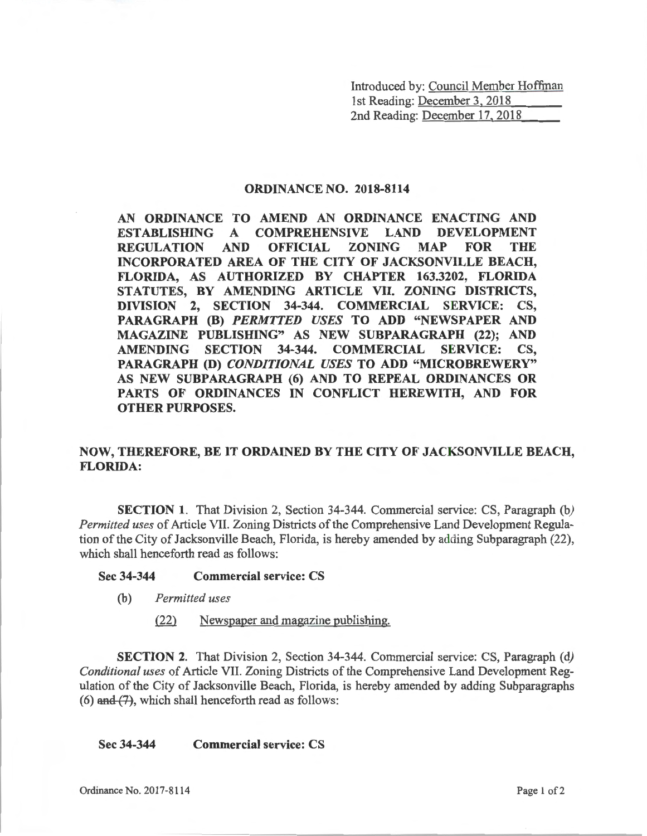Introduced by: Council Member Hoffman 1st Reading: December 3, 2018 2nd Reading: December 17, 2018

## **ORDINANCE NO. 2018-8114**

**AN ORDINANCE TO AMEND AN ORDINANCE ENACTING AND ESTABLISHING A COMPREHENSIVE LAND DEVELOPMENT REGULATION AND OFFICIAL ZONING MAP FOR THE INCORPORATED AREA OF THE CITY OF JACKSONVILLE BEACH, FLORIDA, AS AUTHORIZED BY CHAPTER 163.3202, FLORIDA STATUTES, BY AMENDING ARTICLE VII. ZONING DISTRICTS, DIVISION 2, SECTION 34-344. COMMERCIAL SERVICE: CS, PARAGRAPH (B)** *PERMTTED USES* **TO ADD "NEWSPAPER AND MAGAZINE PUBLISHING" AS NEW SUBPARAGRAPH (22); AND AMENDING SECTION 34-344. COMMERCIAL SERVICE: CS, PARAGRAPH (D)** *CONDITIONAL USES* **TO ADD "MICROBREWERY" AS NEW SUBPARAGRAPH (6) AND TO REPEAL ORDINANCES OR PARTS OF ORDINANCES IN CONFLICT HEREWITH, AND FOR OTHER PURPOSES.** 

## **NOW, THEREFORE, BE IT ORDAINED BY THE CITY OF JACKSONVILLE BEACH, FLORIDA:**

**SECTION 1.** That Division 2, Section 34-344. Commercial service: CS, Paragraph *(b) Permitted uses* of Article VII. Zoning Districts of the Comprehensive Land Development Regulation of the City of Jacksonville Beach, Florida, is hereby amended by adding Subparagraph (22), which shall henceforth read as follows:

## **Sec 34-344 Commercial service: CS**

- (b) *Permitted uses* 
	- .(221 Newspaper and magazine publishing.

**SECTION 2.** That Division 2, Section 34-344. Commercial service: CS, Paragraph *(d) Conditional uses* of Article VII. Zoning Districts of the Comprehensive Land Development Regulation of the City of Jacksonville Beach, Florida, is hereby amended by adding Subparagraphs (6) and (7), which shall henceforth read as follows:

**Sec 34-344 Commercial service: CS**